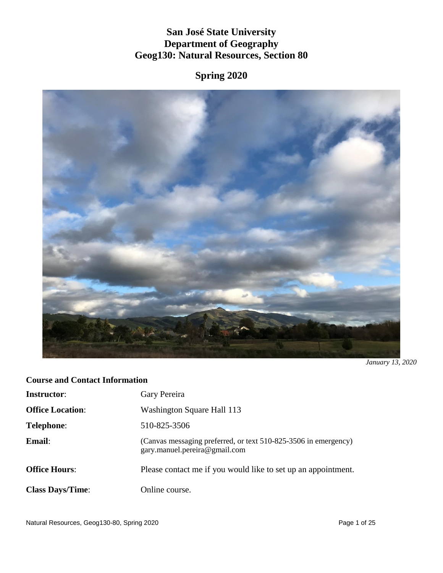# **San José State University Department of Geography Geog130: Natural Resources, Section 80**

**Spring 2020**



*January 13, 2020*

# **Course and Contact Information**

| <b>Instructor:</b>      | Gary Pereira                                                                                     |
|-------------------------|--------------------------------------------------------------------------------------------------|
| <b>Office Location:</b> | Washington Square Hall 113                                                                       |
| <b>Telephone:</b>       | 510-825-3506                                                                                     |
| Email:                  | (Canvas messaging preferred, or text 510-825-3506 in emergency)<br>gary.manuel.pereira@gmail.com |
| <b>Office Hours:</b>    | Please contact me if you would like to set up an appointment.                                    |
| <b>Class Days/Time:</b> | Online course.                                                                                   |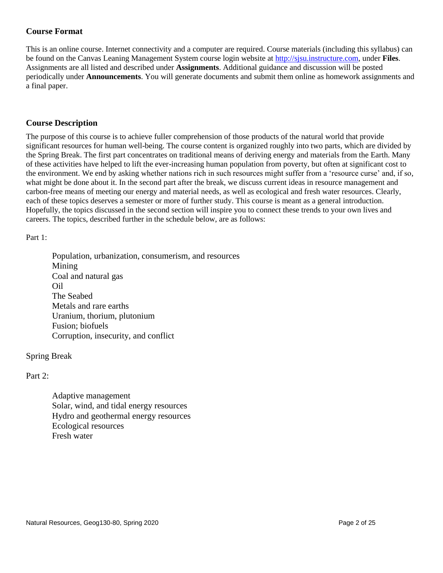# **Course Format**

This is an online course. Internet connectivity and a computer are required. Course materials (including this syllabus) can be found on the Canvas Leaning Management System course login website at [http://sjsu.instructure.com,](http://sjsu.instructure.com/) under **Files**. Assignments are all listed and described under **Assignments**. Additional guidance and discussion will be posted periodically under **Announcements**. You will generate documents and submit them online as homework assignments and a final paper.

# **Course Description**

The purpose of this course is to achieve fuller comprehension of those products of the natural world that provide significant resources for human well-being. The course content is organized roughly into two parts, which are divided by the Spring Break. The first part concentrates on traditional means of deriving energy and materials from the Earth. Many of these activities have helped to lift the ever-increasing human population from poverty, but often at significant cost to the environment. We end by asking whether nations rich in such resources might suffer from a 'resource curse' and, if so, what might be done about it. In the second part after the break, we discuss current ideas in resource management and carbon-free means of meeting our energy and material needs, as well as ecological and fresh water resources. Clearly, each of these topics deserves a semester or more of further study. This course is meant as a general introduction. Hopefully, the topics discussed in the second section will inspire you to connect these trends to your own lives and careers. The topics, described further in the schedule below, are as follows:

Part 1:

Population, urbanization, consumerism, and resources Mining Coal and natural gas Oil The Seabed Metals and rare earths Uranium, thorium, plutonium Fusion; biofuels Corruption, insecurity, and conflict

## Spring Break

Part 2:

Adaptive management Solar, wind, and tidal energy resources Hydro and geothermal energy resources Ecological resources Fresh water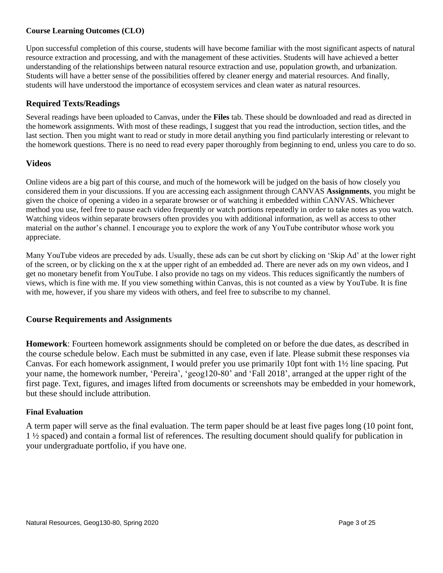#### **Course Learning Outcomes (CLO)**

Upon successful completion of this course, students will have become familiar with the most significant aspects of natural resource extraction and processing, and with the management of these activities. Students will have achieved a better understanding of the relationships between natural resource extraction and use, population growth, and urbanization. Students will have a better sense of the possibilities offered by cleaner energy and material resources. And finally, students will have understood the importance of ecosystem services and clean water as natural resources.

## **Required Texts/Readings**

Several readings have been uploaded to Canvas, under the **Files** tab. These should be downloaded and read as directed in the homework assignments. With most of these readings, I suggest that you read the introduction, section titles, and the last section. Then you might want to read or study in more detail anything you find particularly interesting or relevant to the homework questions. There is no need to read every paper thoroughly from beginning to end, unless you care to do so.

#### **Videos**

Online videos are a big part of this course, and much of the homework will be judged on the basis of how closely you considered them in your discussions. If you are accessing each assignment through CANVAS **Assignments**, you might be given the choice of opening a video in a separate browser or of watching it embedded within CANVAS. Whichever method you use, feel free to pause each video frequently or watch portions repeatedly in order to take notes as you watch. Watching videos within separate browsers often provides you with additional information, as well as access to other material on the author's channel. I encourage you to explore the work of any YouTube contributor whose work you appreciate.

Many YouTube videos are preceded by ads. Usually, these ads can be cut short by clicking on 'Skip Ad' at the lower right of the screen, or by clicking on the x at the upper right of an embedded ad. There are never ads on my own videos, and I get no monetary benefit from YouTube. I also provide no tags on my videos. This reduces significantly the numbers of views, which is fine with me. If you view something within Canvas, this is not counted as a view by YouTube. It is fine with me, however, if you share my videos with others, and feel free to subscribe to my channel.

### **Course Requirements and Assignments**

**Homework**: Fourteen homework assignments should be completed on or before the due dates, as described in the course schedule below. Each must be submitted in any case, even if late. Please submit these responses via Canvas. For each homework assignment, I would prefer you use primarily 10pt font with 1½ line spacing. Put your name, the homework number, 'Pereira', 'geog120-80' and 'Fall 2018', arranged at the upper right of the first page. Text, figures, and images lifted from documents or screenshots may be embedded in your homework, but these should include attribution.

#### **Final Evaluation**

A term paper will serve as the final evaluation. The term paper should be at least five pages long (10 point font, 1 ½ spaced) and contain a formal list of references. The resulting document should qualify for publication in your undergraduate portfolio, if you have one.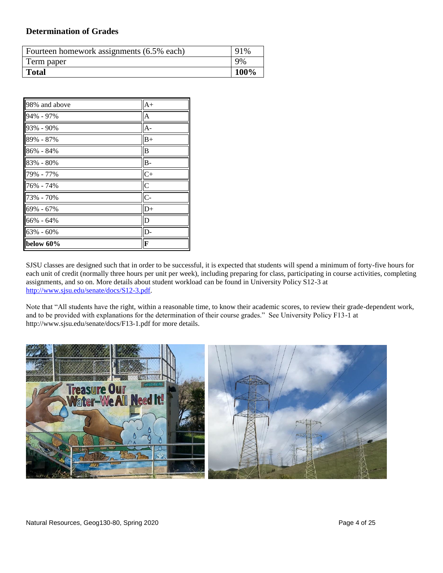#### **Determination of Grades**

| Fourteen homework assignments (6.5% each) | 91%  |
|-------------------------------------------|------|
| Term paper                                | 9%   |
| <b>Total</b>                              | 100% |

| 98% and above | $A+$           |
|---------------|----------------|
| 94% - 97%     | $\overline{A}$ |
| 93% - 90%     | $A -$          |
| 89% - 87%     | $B+$           |
| 86% - 84%     | B              |
| 83% - 80%     | $B -$          |
| 79% - 77%     | $C+$           |
| 76% - 74%     | $\overline{C}$ |
| 73% - 70%     | $C -$          |
| 69% - 67%     | $D+$           |
| 66% - 64%     | D              |
| 63% - 60%     | D-             |
| below 60%     | F              |

SJSU classes are designed such that in order to be successful, it is expected that students will spend a minimum of forty-five hours for each unit of credit (normally three hours per unit per week), including preparing for class, participating in course activities, completing assignments, and so on. More details about student workload can be found in University Policy S12-3 at [http://www.sjsu.edu/senate/docs/S12-3.pdf.](http://www.sjsu.edu/senate/docs/S12-3.pdf)

Note that "All students have the right, within a reasonable time, to know their academic scores, to review their grade-dependent work, and to be provided with explanations for the determination of their course grades." See University Policy F13-1 at http://www.sjsu.edu/senate/docs/F13-1.pdf for more details.

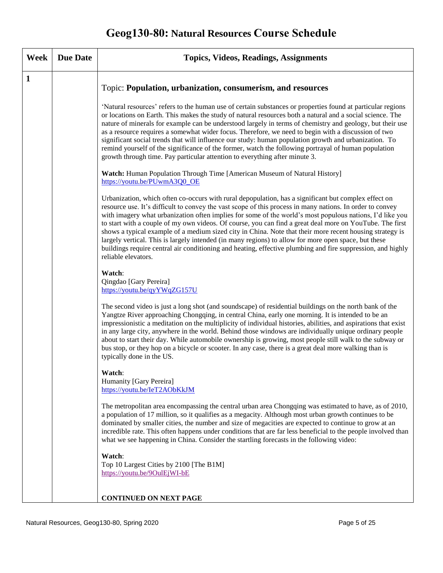# **Geog130-80: Natural Resources Course Schedule**

| Week         | <b>Due Date</b> | <b>Topics, Videos, Readings, Assignments</b>                                                                                                                                                                                                                                                                                                                                                                                                                                                                                                                                                                                                                                                                                                                                                        |
|--------------|-----------------|-----------------------------------------------------------------------------------------------------------------------------------------------------------------------------------------------------------------------------------------------------------------------------------------------------------------------------------------------------------------------------------------------------------------------------------------------------------------------------------------------------------------------------------------------------------------------------------------------------------------------------------------------------------------------------------------------------------------------------------------------------------------------------------------------------|
| $\mathbf{1}$ |                 | Topic: Population, urbanization, consumerism, and resources                                                                                                                                                                                                                                                                                                                                                                                                                                                                                                                                                                                                                                                                                                                                         |
|              |                 | 'Natural resources' refers to the human use of certain substances or properties found at particular regions<br>or locations on Earth. This makes the study of natural resources both a natural and a social science. The<br>nature of minerals for example can be understood largely in terms of chemistry and geology, but their use<br>as a resource requires a somewhat wider focus. Therefore, we need to begin with a discussion of two<br>significant social trends that will influence our study: human population growth and urbanization. To<br>remind yourself of the significance of the former, watch the following portrayal of human population<br>growth through time. Pay particular attention to everything after minute 3.                                                        |
|              |                 | <b>Watch:</b> Human Population Through Time [American Museum of Natural History]<br>https://youtu.be/PUwmA3Q0 OE                                                                                                                                                                                                                                                                                                                                                                                                                                                                                                                                                                                                                                                                                    |
|              |                 | Urbanization, which often co-occurs with rural depopulation, has a significant but complex effect on<br>resource use. It's difficult to convey the vast scope of this process in many nations. In order to convey<br>with imagery what urbanization often implies for some of the world's most populous nations, I'd like you<br>to start with a couple of my own videos. Of course, you can find a great deal more on YouTube. The first<br>shows a typical example of a medium sized city in China. Note that their more recent housing strategy is<br>largely vertical. This is largely intended (in many regions) to allow for more open space, but these<br>buildings require central air conditioning and heating, effective plumbing and fire suppression, and highly<br>reliable elevators. |
|              |                 | Watch:<br>Qingdao [Gary Pereira]<br>https://youtu.be/qyYWqZG157U                                                                                                                                                                                                                                                                                                                                                                                                                                                                                                                                                                                                                                                                                                                                    |
|              |                 | The second video is just a long shot (and soundscape) of residential buildings on the north bank of the<br>Yangtze River approaching Chongqing, in central China, early one morning. It is intended to be an<br>impressionistic a meditation on the multiplicity of individual histories, abilities, and aspirations that exist<br>in any large city, anywhere in the world. Behind those windows are individually unique ordinary people<br>about to start their day. While automobile ownership is growing, most people still walk to the subway or<br>bus stop, or they hop on a bicycle or scooter. In any case, there is a great deal more walking than is<br>typically done in the US.                                                                                                        |
|              |                 | Watch:<br>Humanity [Gary Pereira]<br>https://youtu.be/IeT2AObKkJM                                                                                                                                                                                                                                                                                                                                                                                                                                                                                                                                                                                                                                                                                                                                   |
|              |                 | The metropolitan area encompassing the central urban area Chongqing was estimated to have, as of 2010,<br>a population of 17 million, so it qualifies as a megacity. Although most urban growth continues to be<br>dominated by smaller cities, the number and size of megacities are expected to continue to grow at an<br>incredible rate. This often happens under conditions that are far less beneficial to the people involved than<br>what we see happening in China. Consider the startling forecasts in the following video:                                                                                                                                                                                                                                                               |
|              |                 | Watch:<br>Top 10 Largest Cities by 2100 [The B1M]<br>https://youtu.be/9OulEjWI-bE                                                                                                                                                                                                                                                                                                                                                                                                                                                                                                                                                                                                                                                                                                                   |
|              |                 | <b>CONTINUED ON NEXT PAGE</b>                                                                                                                                                                                                                                                                                                                                                                                                                                                                                                                                                                                                                                                                                                                                                                       |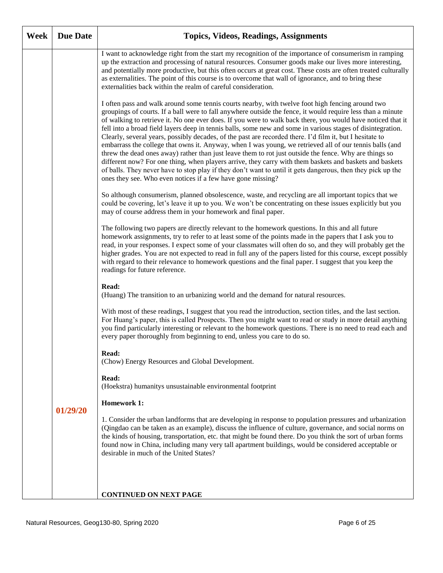| Week | <b>Due Date</b> | <b>Topics, Videos, Readings, Assignments</b>                                                                                                                                                                                                                                                                                                                                                                                                                                                                                                                                                                                                                                                                                                                                                                                                                                                                                                                                                                                                                            |
|------|-----------------|-------------------------------------------------------------------------------------------------------------------------------------------------------------------------------------------------------------------------------------------------------------------------------------------------------------------------------------------------------------------------------------------------------------------------------------------------------------------------------------------------------------------------------------------------------------------------------------------------------------------------------------------------------------------------------------------------------------------------------------------------------------------------------------------------------------------------------------------------------------------------------------------------------------------------------------------------------------------------------------------------------------------------------------------------------------------------|
|      |                 | I want to acknowledge right from the start my recognition of the importance of consumerism in ramping<br>up the extraction and processing of natural resources. Consumer goods make our lives more interesting,<br>and potentially more productive, but this often occurs at great cost. These costs are often treated culturally<br>as externalities. The point of this course is to overcome that wall of ignorance, and to bring these<br>externalities back within the realm of careful consideration.                                                                                                                                                                                                                                                                                                                                                                                                                                                                                                                                                              |
|      |                 | I often pass and walk around some tennis courts nearby, with twelve foot high fencing around two<br>groupings of courts. If a ball were to fall anywhere outside the fence, it would require less than a minute<br>of walking to retrieve it. No one ever does. If you were to walk back there, you would have noticed that it<br>fell into a broad field layers deep in tennis balls, some new and some in various stages of disintegration.<br>Clearly, several years, possibly decades, of the past are recorded there. I'd film it, but I hesitate to<br>embarrass the college that owns it. Anyway, when I was young, we retrieved all of our tennis balls (and<br>threw the dead ones away) rather than just leave them to rot just outside the fence. Why are things so<br>different now? For one thing, when players arrive, they carry with them baskets and baskets and baskets<br>of balls. They never have to stop play if they don't want to until it gets dangerous, then they pick up the<br>ones they see. Who even notices if a few have gone missing? |
|      |                 | So although consumerism, planned obsolescence, waste, and recycling are all important topics that we<br>could be covering, let's leave it up to you. We won't be concentrating on these issues explicitly but you<br>may of course address them in your homework and final paper.                                                                                                                                                                                                                                                                                                                                                                                                                                                                                                                                                                                                                                                                                                                                                                                       |
|      |                 | The following two papers are directly relevant to the homework questions. In this and all future<br>homework assignments, try to refer to at least some of the points made in the papers that I ask you to<br>read, in your responses. I expect some of your classmates will often do so, and they will probably get the<br>higher grades. You are not expected to read in full any of the papers listed for this course, except possibly<br>with regard to their relevance to homework questions and the final paper. I suggest that you keep the<br>readings for future reference.                                                                                                                                                                                                                                                                                                                                                                                                                                                                                    |
|      |                 | Read:<br>(Huang) The transition to an urbanizing world and the demand for natural resources.                                                                                                                                                                                                                                                                                                                                                                                                                                                                                                                                                                                                                                                                                                                                                                                                                                                                                                                                                                            |
|      |                 | With most of these readings, I suggest that you read the introduction, section titles, and the last section.<br>For Huang's paper, this is called Prospects. Then you might want to read or study in more detail anything<br>you find particularly interesting or relevant to the homework questions. There is no need to read each and<br>every paper thoroughly from beginning to end, unless you care to do so.                                                                                                                                                                                                                                                                                                                                                                                                                                                                                                                                                                                                                                                      |
|      |                 | Read:<br>(Chow) Energy Resources and Global Development.                                                                                                                                                                                                                                                                                                                                                                                                                                                                                                                                                                                                                                                                                                                                                                                                                                                                                                                                                                                                                |
|      |                 | Read:<br>(Hoekstra) humanitys unsustainable environmental footprint                                                                                                                                                                                                                                                                                                                                                                                                                                                                                                                                                                                                                                                                                                                                                                                                                                                                                                                                                                                                     |
|      | 01/29/20        | <b>Homework 1:</b>                                                                                                                                                                                                                                                                                                                                                                                                                                                                                                                                                                                                                                                                                                                                                                                                                                                                                                                                                                                                                                                      |
|      |                 | 1. Consider the urban landforms that are developing in response to population pressures and urbanization<br>(Qingdao can be taken as an example), discuss the influence of culture, governance, and social norms on<br>the kinds of housing, transportation, etc. that might be found there. Do you think the sort of urban forms<br>found now in China, including many very tall apartment buildings, would be considered acceptable or<br>desirable in much of the United States?                                                                                                                                                                                                                                                                                                                                                                                                                                                                                                                                                                                     |
|      |                 |                                                                                                                                                                                                                                                                                                                                                                                                                                                                                                                                                                                                                                                                                                                                                                                                                                                                                                                                                                                                                                                                         |
|      |                 | <b>CONTINUED ON NEXT PAGE</b>                                                                                                                                                                                                                                                                                                                                                                                                                                                                                                                                                                                                                                                                                                                                                                                                                                                                                                                                                                                                                                           |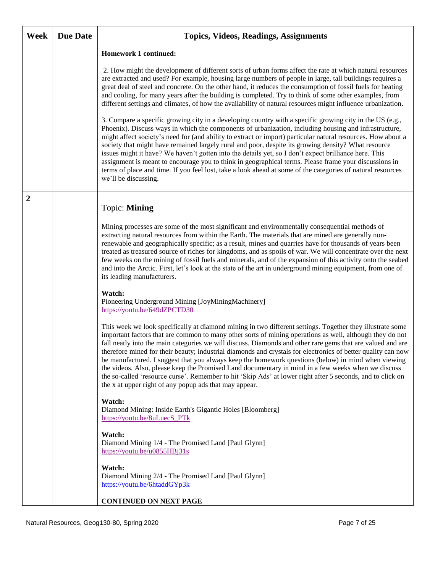| Week             | <b>Due Date</b> | <b>Topics, Videos, Readings, Assignments</b>                                                                                                                                                                                                                                                                                                                                                                                                                                                                                                                                                                                                                                                                                                                                                                                             |
|------------------|-----------------|------------------------------------------------------------------------------------------------------------------------------------------------------------------------------------------------------------------------------------------------------------------------------------------------------------------------------------------------------------------------------------------------------------------------------------------------------------------------------------------------------------------------------------------------------------------------------------------------------------------------------------------------------------------------------------------------------------------------------------------------------------------------------------------------------------------------------------------|
|                  |                 | <b>Homework 1 continued:</b>                                                                                                                                                                                                                                                                                                                                                                                                                                                                                                                                                                                                                                                                                                                                                                                                             |
|                  |                 | 2. How might the development of different sorts of urban forms affect the rate at which natural resources<br>are extracted and used? For example, housing large numbers of people in large, tall buildings requires a<br>great deal of steel and concrete. On the other hand, it reduces the consumption of fossil fuels for heating<br>and cooling, for many years after the building is completed. Try to think of some other examples, from<br>different settings and climates, of how the availability of natural resources might influence urbanization.                                                                                                                                                                                                                                                                            |
|                  |                 | 3. Compare a specific growing city in a developing country with a specific growing city in the US (e.g.,<br>Phoenix). Discuss ways in which the components of urbanization, including housing and infrastructure,<br>might affect society's need for (and ability to extract or import) particular natural resources. How about a<br>society that might have remained largely rural and poor, despite its growing density? What resource<br>issues might it have? We haven't gotten into the details yet, so I don't expect brilliance here. This<br>assignment is meant to encourage you to think in geographical terms. Please frame your discussions in<br>terms of place and time. If you feel lost, take a look ahead at some of the categories of natural resources<br>we'll be discussing.                                        |
| $\boldsymbol{2}$ |                 | Topic: Mining                                                                                                                                                                                                                                                                                                                                                                                                                                                                                                                                                                                                                                                                                                                                                                                                                            |
|                  |                 | Mining processes are some of the most significant and environmentally consequential methods of<br>extracting natural resources from within the Earth. The materials that are mined are generally non-<br>renewable and geographically specific; as a result, mines and quarries have for thousands of years been<br>treated as treasured source of riches for kingdoms, and as spoils of war. We will concentrate over the next<br>few weeks on the mining of fossil fuels and minerals, and of the expansion of this activity onto the seabed<br>and into the Arctic. First, let's look at the state of the art in underground mining equipment, from one of<br>its leading manufacturers.                                                                                                                                              |
|                  |                 | Watch:<br>Pioneering Underground Mining [JoyMiningMachinery]<br>https://youtu.be/649dZPCTD30                                                                                                                                                                                                                                                                                                                                                                                                                                                                                                                                                                                                                                                                                                                                             |
|                  |                 | This week we look specifically at diamond mining in two different settings. Together they illustrate some<br>important factors that are common to many other sorts of mining operations as well, although they do not<br>fall neatly into the main categories we will discuss. Diamonds and other rare gems that are valued and are<br>therefore mined for their beauty; industrial diamonds and crystals for electronics of better quality can now<br>be manufactured. I suggest that you always keep the homework questions (below) in mind when viewing<br>the videos. Also, please keep the Promised Land documentary in mind in a few weeks when we discuss<br>the so-called 'resource curse'. Remember to hit 'Skip Ads' at lower right after 5 seconds, and to click on<br>the x at upper right of any popup ads that may appear. |
|                  |                 | Watch:<br>Diamond Mining: Inside Earth's Gigantic Holes [Bloomberg]<br>https://youtu.be/8uLuecS PTk                                                                                                                                                                                                                                                                                                                                                                                                                                                                                                                                                                                                                                                                                                                                      |
|                  |                 | Watch:<br>Diamond Mining 1/4 - The Promised Land [Paul Glynn]<br>$\frac{https://youtu.be/u0855HBj31s}{https://youtu.be/u0855HBj31s}$                                                                                                                                                                                                                                                                                                                                                                                                                                                                                                                                                                                                                                                                                                     |
|                  |                 | Watch:<br>Diamond Mining 2/4 - The Promised Land [Paul Glynn]<br>https://youtu.be/6htaddGYp3k                                                                                                                                                                                                                                                                                                                                                                                                                                                                                                                                                                                                                                                                                                                                            |
|                  |                 | <b>CONTINUED ON NEXT PAGE</b>                                                                                                                                                                                                                                                                                                                                                                                                                                                                                                                                                                                                                                                                                                                                                                                                            |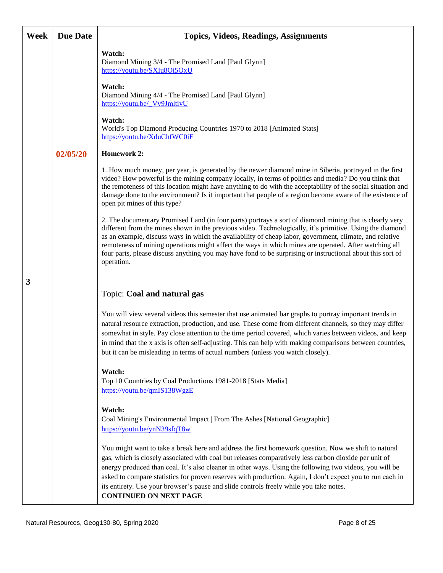| Week | <b>Due Date</b> | <b>Topics, Videos, Readings, Assignments</b>                                                                                                                                                                                                                                                                                                                                                                                                                                                                                                                        |
|------|-----------------|---------------------------------------------------------------------------------------------------------------------------------------------------------------------------------------------------------------------------------------------------------------------------------------------------------------------------------------------------------------------------------------------------------------------------------------------------------------------------------------------------------------------------------------------------------------------|
|      |                 | Watch:<br>Diamond Mining 3/4 - The Promised Land [Paul Glynn]<br>https://youtu.be/SXIu8Oi5OxU                                                                                                                                                                                                                                                                                                                                                                                                                                                                       |
|      |                 | Watch:<br>Diamond Mining 4/4 - The Promised Land [Paul Glynn]<br>https://youtu.be/ Vv9JmltivU                                                                                                                                                                                                                                                                                                                                                                                                                                                                       |
|      |                 | Watch:<br>World's Top Diamond Producing Countries 1970 to 2018 [Animated Stats]<br>https://youtu.be/XduChfWC0iE                                                                                                                                                                                                                                                                                                                                                                                                                                                     |
|      | 02/05/20        | <b>Homework 2:</b>                                                                                                                                                                                                                                                                                                                                                                                                                                                                                                                                                  |
|      |                 | 1. How much money, per year, is generated by the newer diamond mine in Siberia, portrayed in the first<br>video? How powerful is the mining company locally, in terms of politics and media? Do you think that<br>the remoteness of this location might have anything to do with the acceptability of the social situation and<br>damage done to the environment? Is it important that people of a region become aware of the existence of<br>open pit mines of this type?                                                                                          |
|      |                 | 2. The documentary Promised Land (in four parts) portrays a sort of diamond mining that is clearly very<br>different from the mines shown in the previous video. Technologically, it's primitive. Using the diamond<br>as an example, discuss ways in which the availability of cheap labor, government, climate, and relative<br>remoteness of mining operations might affect the ways in which mines are operated. After watching all<br>four parts, please discuss anything you may have fond to be surprising or instructional about this sort of<br>operation. |
| 3    |                 | Topic: Coal and natural gas                                                                                                                                                                                                                                                                                                                                                                                                                                                                                                                                         |
|      |                 | You will view several videos this semester that use animated bar graphs to portray important trends in<br>natural resource extraction, production, and use. These come from different channels, so they may differ<br>somewhat in style. Pay close attention to the time period covered, which varies between videos, and keep<br>in mind that the x axis is often self-adjusting. This can help with making comparisons between countries,                                                                                                                         |
|      |                 | but it can be misleading in terms of actual numbers (unless you watch closely).                                                                                                                                                                                                                                                                                                                                                                                                                                                                                     |
|      |                 | Watch:<br>Top 10 Countries by Coal Productions 1981-2018 [Stats Media]<br>https://youtu.be/qmIS138WgzE                                                                                                                                                                                                                                                                                                                                                                                                                                                              |
|      |                 | Watch:<br>Coal Mining's Environmental Impact   From The Ashes [National Geographic]<br>https://youtu.be/ynN39sfqT8w                                                                                                                                                                                                                                                                                                                                                                                                                                                 |
|      |                 | You might want to take a break here and address the first homework question. Now we shift to natural<br>gas, which is closely associated with coal but releases comparatively less carbon dioxide per unit of<br>energy produced than coal. It's also cleaner in other ways. Using the following two videos, you will be<br>asked to compare statistics for proven reserves with production. Again, I don't expect you to run each in<br>its entirety. Use your browser's pause and slide controls freely while you take notes.<br><b>CONTINUED ON NEXT PAGE</b>    |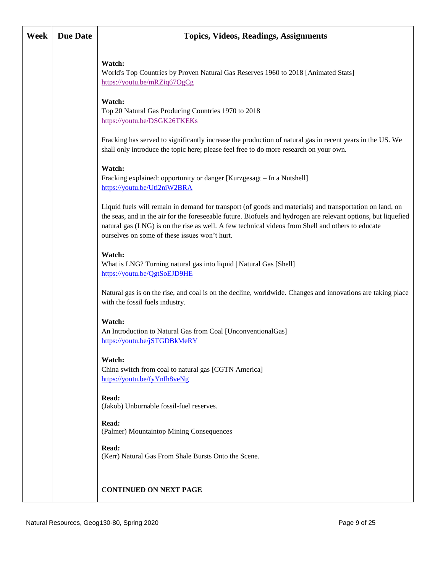| Week | <b>Due Date</b> | <b>Topics, Videos, Readings, Assignments</b>                                                                                                                                                                                                                                                                                                                                     |
|------|-----------------|----------------------------------------------------------------------------------------------------------------------------------------------------------------------------------------------------------------------------------------------------------------------------------------------------------------------------------------------------------------------------------|
|      |                 | Watch:<br>World's Top Countries by Proven Natural Gas Reserves 1960 to 2018 [Animated Stats]<br>https://youtu.be/mRZiq67OgCg                                                                                                                                                                                                                                                     |
|      |                 | Watch:<br>Top 20 Natural Gas Producing Countries 1970 to 2018<br>https://youtu.be/DSGK26TKEKs                                                                                                                                                                                                                                                                                    |
|      |                 | Fracking has served to significantly increase the production of natural gas in recent years in the US. We<br>shall only introduce the topic here; please feel free to do more research on your own.                                                                                                                                                                              |
|      |                 | Watch:<br>Fracking explained: opportunity or danger [Kurzgesagt - In a Nutshell]<br>https://youtu.be/Uti2niW2BRA                                                                                                                                                                                                                                                                 |
|      |                 | Liquid fuels will remain in demand for transport (of goods and materials) and transportation on land, on<br>the seas, and in the air for the foreseeable future. Biofuels and hydrogen are relevant options, but liquefied<br>natural gas (LNG) is on the rise as well. A few technical videos from Shell and others to educate<br>ourselves on some of these issues won't hurt. |
|      |                 | Watch:<br>What is LNG? Turning natural gas into liquid   Natural Gas [Shell]<br>https://youtu.be/QgtSoEJD9HE                                                                                                                                                                                                                                                                     |
|      |                 | Natural gas is on the rise, and coal is on the decline, worldwide. Changes and innovations are taking place<br>with the fossil fuels industry.                                                                                                                                                                                                                                   |
|      |                 | Watch:<br>An Introduction to Natural Gas from Coal [UnconventionalGas]<br>https://youtu.be/jSTGDBkMeRY                                                                                                                                                                                                                                                                           |
|      |                 | Watch:<br>China switch from coal to natural gas [CGTN America]<br>https://youtu.be/fyYnIh8veNg                                                                                                                                                                                                                                                                                   |
|      |                 | Read:<br>(Jakob) Unburnable fossil-fuel reserves.                                                                                                                                                                                                                                                                                                                                |
|      |                 | Read:<br>(Palmer) Mountaintop Mining Consequences                                                                                                                                                                                                                                                                                                                                |
|      |                 | Read:<br>(Kerr) Natural Gas From Shale Bursts Onto the Scene.                                                                                                                                                                                                                                                                                                                    |
|      |                 | <b>CONTINUED ON NEXT PAGE</b>                                                                                                                                                                                                                                                                                                                                                    |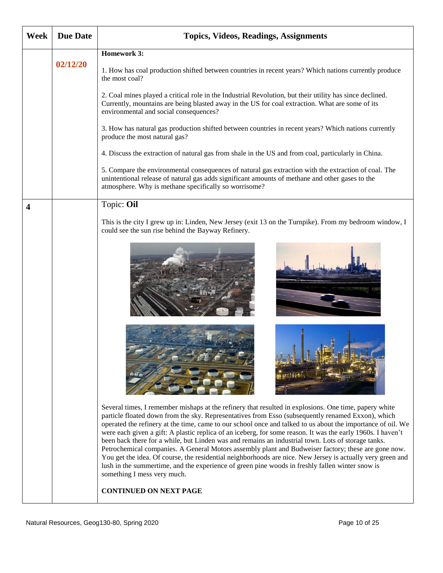| <b>Week</b> | <b>Due Date</b> | <b>Topics, Videos, Readings, Assignments</b>                                                                                                                                                                                                                                                                                                                                                                                                                                                                                                                                                                                                                                                                                                                                                                                                                                                          |
|-------------|-----------------|-------------------------------------------------------------------------------------------------------------------------------------------------------------------------------------------------------------------------------------------------------------------------------------------------------------------------------------------------------------------------------------------------------------------------------------------------------------------------------------------------------------------------------------------------------------------------------------------------------------------------------------------------------------------------------------------------------------------------------------------------------------------------------------------------------------------------------------------------------------------------------------------------------|
|             |                 | <b>Homework 3:</b>                                                                                                                                                                                                                                                                                                                                                                                                                                                                                                                                                                                                                                                                                                                                                                                                                                                                                    |
|             | 02/12/20        | 1. How has coal production shifted between countries in recent years? Which nations currently produce<br>the most coal?                                                                                                                                                                                                                                                                                                                                                                                                                                                                                                                                                                                                                                                                                                                                                                               |
|             |                 | 2. Coal mines played a critical role in the Industrial Revolution, but their utility has since declined.<br>Currently, mountains are being blasted away in the US for coal extraction. What are some of its<br>environmental and social consequences?                                                                                                                                                                                                                                                                                                                                                                                                                                                                                                                                                                                                                                                 |
|             |                 | 3. How has natural gas production shifted between countries in recent years? Which nations currently<br>produce the most natural gas?                                                                                                                                                                                                                                                                                                                                                                                                                                                                                                                                                                                                                                                                                                                                                                 |
|             |                 | 4. Discuss the extraction of natural gas from shale in the US and from coal, particularly in China.                                                                                                                                                                                                                                                                                                                                                                                                                                                                                                                                                                                                                                                                                                                                                                                                   |
|             |                 | 5. Compare the environmental consequences of natural gas extraction with the extraction of coal. The<br>unintentional release of natural gas adds significant amounts of methane and other gases to the<br>atmosphere. Why is methane specifically so worrisome?                                                                                                                                                                                                                                                                                                                                                                                                                                                                                                                                                                                                                                      |
| 4           |                 | Topic: Oil                                                                                                                                                                                                                                                                                                                                                                                                                                                                                                                                                                                                                                                                                                                                                                                                                                                                                            |
|             |                 | This is the city I grew up in: Linden, New Jersey (exit 13 on the Turnpike). From my bedroom window, I<br>could see the sun rise behind the Bayway Refinery.                                                                                                                                                                                                                                                                                                                                                                                                                                                                                                                                                                                                                                                                                                                                          |
|             |                 |                                                                                                                                                                                                                                                                                                                                                                                                                                                                                                                                                                                                                                                                                                                                                                                                                                                                                                       |
|             |                 |                                                                                                                                                                                                                                                                                                                                                                                                                                                                                                                                                                                                                                                                                                                                                                                                                                                                                                       |
|             |                 | Several times, I remember mishaps at the refinery that resulted in explosions. One time, papery white<br>particle floated down from the sky. Representatives from Esso (subsequently renamed Exxon), which<br>operated the refinery at the time, came to our school once and talked to us about the importance of oil. We<br>were each given a gift: A plastic replica of an iceberg, for some reason. It was the early 1960s. I haven't<br>been back there for a while, but Linden was and remains an industrial town. Lots of storage tanks.<br>Petrochemical companies. A General Motors assembly plant and Budweiser factory; these are gone now.<br>You get the idea. Of course, the residential neighborhoods are nice. New Jersey is actually very green and<br>lush in the summertime, and the experience of green pine woods in freshly fallen winter snow is<br>something I mess very much. |
|             |                 | <b>CONTINUED ON NEXT PAGE</b>                                                                                                                                                                                                                                                                                                                                                                                                                                                                                                                                                                                                                                                                                                                                                                                                                                                                         |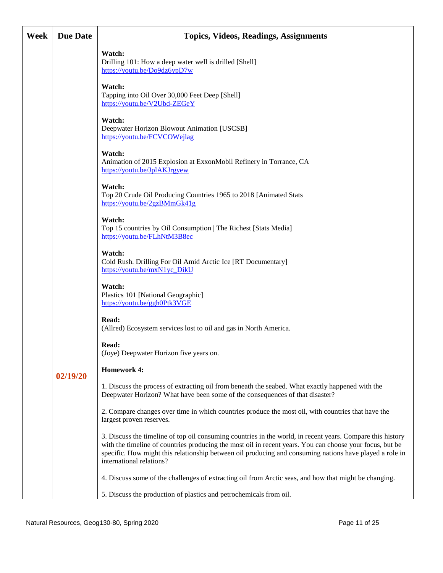| Week | <b>Due Date</b> | <b>Topics, Videos, Readings, Assignments</b>                                                                                                                                                                                                                                                                                                                  |
|------|-----------------|---------------------------------------------------------------------------------------------------------------------------------------------------------------------------------------------------------------------------------------------------------------------------------------------------------------------------------------------------------------|
|      |                 | Watch:<br>Drilling 101: How a deep water well is drilled [Shell]<br>https://youtu.be/Do9dz6ypD7w                                                                                                                                                                                                                                                              |
|      |                 | Watch:<br>Tapping into Oil Over 30,000 Feet Deep [Shell]<br>https://youtu.be/V2Ubd-ZEGeY                                                                                                                                                                                                                                                                      |
|      |                 | Watch:<br>Deepwater Horizon Blowout Animation [USCSB]<br>https://youtu.be/FCVCOWejlag                                                                                                                                                                                                                                                                         |
|      |                 | Watch:<br>Animation of 2015 Explosion at ExxonMobil Refinery in Torrance, CA<br>https://youtu.be/JplAKJrgyew                                                                                                                                                                                                                                                  |
|      |                 | Watch:<br>Top 20 Crude Oil Producing Countries 1965 to 2018 [Animated Stats<br>https://youtu.be/2gzBMmGk41g                                                                                                                                                                                                                                                   |
|      |                 | Watch:<br>Top 15 countries by Oil Consumption   The Richest [Stats Media]<br>https://youtu.be/FLhNtM3B8ec                                                                                                                                                                                                                                                     |
|      |                 | Watch:<br>Cold Rush. Drilling For Oil Amid Arctic Ice [RT Documentary]<br>https://youtu.be/mxN1yc_DikU                                                                                                                                                                                                                                                        |
|      |                 | Watch:<br>Plastics 101 [National Geographic]<br>https://youtu.be/ggh0Ptk3VGE                                                                                                                                                                                                                                                                                  |
|      |                 | Read:<br>(Allred) Ecosystem services lost to oil and gas in North America.                                                                                                                                                                                                                                                                                    |
|      |                 | Read:<br>(Joye) Deepwater Horizon five years on.                                                                                                                                                                                                                                                                                                              |
|      | 02/19/20        | <b>Homework 4:</b>                                                                                                                                                                                                                                                                                                                                            |
|      |                 | 1. Discuss the process of extracting oil from beneath the seabed. What exactly happened with the<br>Deepwater Horizon? What have been some of the consequences of that disaster?                                                                                                                                                                              |
|      |                 | 2. Compare changes over time in which countries produce the most oil, with countries that have the<br>largest proven reserves.                                                                                                                                                                                                                                |
|      |                 | 3. Discuss the timeline of top oil consuming countries in the world, in recent years. Compare this history<br>with the timeline of countries producing the most oil in recent years. You can choose your focus, but be<br>specific. How might this relationship between oil producing and consuming nations have played a role in<br>international relations? |
|      |                 | 4. Discuss some of the challenges of extracting oil from Arctic seas, and how that might be changing.                                                                                                                                                                                                                                                         |
|      |                 | 5. Discuss the production of plastics and petrochemicals from oil.                                                                                                                                                                                                                                                                                            |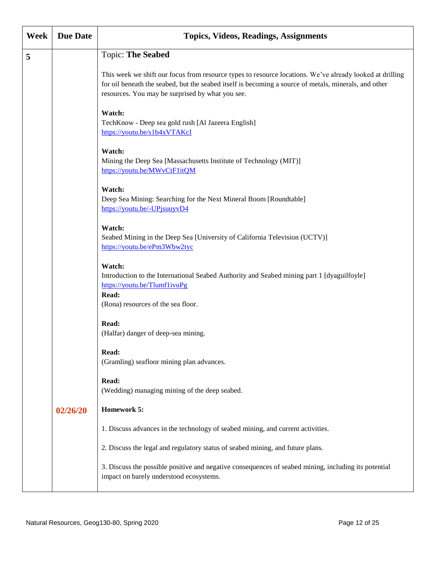| Week | <b>Due Date</b> | <b>Topics, Videos, Readings, Assignments</b>                                                                                                                                                                                                                          |
|------|-----------------|-----------------------------------------------------------------------------------------------------------------------------------------------------------------------------------------------------------------------------------------------------------------------|
| 5    |                 | <b>Topic: The Seabed</b>                                                                                                                                                                                                                                              |
|      |                 | This week we shift our focus from resource types to resource locations. We've already looked at drilling<br>for oil beneath the seabed, but the seabed itself is becoming a source of metals, minerals, and other<br>resources. You may be surprised by what you see. |
|      |                 | Watch:<br>TechKnow - Deep sea gold rush [Al Jazeera English]<br>https://youtu.be/s1b4xVTAKcI                                                                                                                                                                          |
|      |                 | Watch:<br>Mining the Deep Sea [Massachusetts Institute of Technology (MIT)]<br>https://youtu.be/MWvCtF1itQM                                                                                                                                                           |
|      |                 | Watch:<br>Deep Sea Mining: Searching for the Next Mineral Boom [Roundtable]<br>https://youtu.be/-UPjsuuyvD4                                                                                                                                                           |
|      |                 | Watch:<br>Seabed Mining in the Deep Sea [University of California Television (UCTV)]<br>https://youtu.be/ePm3Wbw2tyc                                                                                                                                                  |
|      |                 | Watch:<br>Introduction to the International Seabed Authority and Seabed mining part 1 [dyaguilfoyle]<br>https://youtu.be/TlumflivuPg<br>Read:<br>(Rona) resources of the sea floor.                                                                                   |
|      |                 | Read:<br>(Halfar) danger of deep-sea mining.                                                                                                                                                                                                                          |
|      |                 | <b>Read:</b><br>(Gramling) seafloor mining plan advances.                                                                                                                                                                                                             |
|      |                 | Read:<br>(Wedding) managing mining of the deep seabed.                                                                                                                                                                                                                |
|      | 02/26/20        | <b>Homework 5:</b>                                                                                                                                                                                                                                                    |
|      |                 | 1. Discuss advances in the technology of seabed mining, and current activities.                                                                                                                                                                                       |
|      |                 | 2. Discuss the legal and regulatory status of seabed mining, and future plans.                                                                                                                                                                                        |
|      |                 | 3. Discuss the possible positive and negative consequences of seabed mining, including its potential<br>impact on barely understood ecosystems.                                                                                                                       |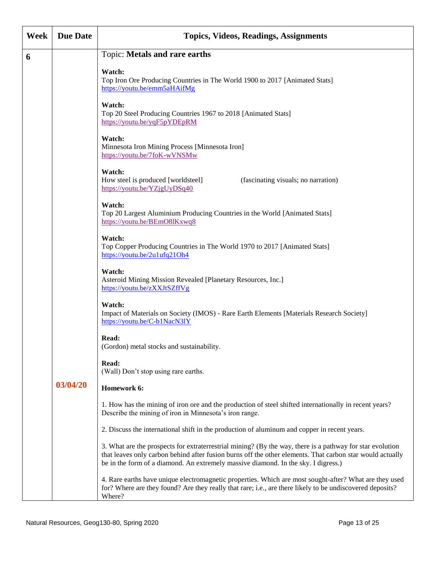| Week | <b>Due Date</b> | <b>Topics, Videos, Readings, Assignments</b>                                                                                                                                                                                                                                                                 |
|------|-----------------|--------------------------------------------------------------------------------------------------------------------------------------------------------------------------------------------------------------------------------------------------------------------------------------------------------------|
| 6    |                 | Topic: Metals and rare earths                                                                                                                                                                                                                                                                                |
|      |                 | Watch:<br>Top Iron Ore Producing Countries in The World 1900 to 2017 [Animated Stats]<br>https://youtu.be/emm5aHAifMg<br>Watch:                                                                                                                                                                              |
|      |                 | Top 20 Steel Producing Countries 1967 to 2018 [Animated Stats]<br>https://youtu.be/yqF5pYDEpRM                                                                                                                                                                                                               |
|      |                 | Watch:<br>Minnesota Iron Mining Process [Minnesota Iron]<br>https://youtu.be/7foK-wVNSMw                                                                                                                                                                                                                     |
|      |                 | Watch:<br>How steel is produced [worldsteel]<br>(fascinating visuals; no narration)<br>https://youtu.be/YZjgUyDSq40                                                                                                                                                                                          |
|      |                 | Watch:<br>Top 20 Largest Aluminium Producing Countries in the World [Animated Stats]<br>https://youtu.be/BEmO8lKxwq8                                                                                                                                                                                         |
|      |                 | Watch:<br>Top Copper Producing Countries in The World 1970 to 2017 [Animated Stats]<br>https://youtu.be/2u1ufq21Oh4                                                                                                                                                                                          |
|      |                 | Watch:<br>Asteroid Mining Mission Revealed [Planetary Resources, Inc.]<br>https://youtu.be/zXXJtSZffVg                                                                                                                                                                                                       |
|      |                 | Watch:<br>Impact of Materials on Society (IMOS) - Rare Earth Elements [Materials Research Society]<br>https://youtu.be/C-b1NacN31Y                                                                                                                                                                           |
|      |                 | Read:<br>(Gordon) metal stocks and sustainability.                                                                                                                                                                                                                                                           |
|      |                 | Read:<br>(Wall) Don't stop using rare earths.                                                                                                                                                                                                                                                                |
|      | 03/04/20        | Homework 6:                                                                                                                                                                                                                                                                                                  |
|      |                 | 1. How has the mining of iron ore and the production of steel shifted internationally in recent years?<br>Describe the mining of iron in Minnesota's iron range.                                                                                                                                             |
|      |                 | 2. Discuss the international shift in the production of aluminum and copper in recent years.                                                                                                                                                                                                                 |
|      |                 | 3. What are the prospects for extraterrestrial mining? (By the way, there is a pathway for star evolution<br>that leaves only carbon behind after fusion burns off the other elements. That carbon star would actually<br>be in the form of a diamond. An extremely massive diamond. In the sky. I digress.) |
|      |                 | 4. Rare earths have unique electromagnetic properties. Which are most sought-after? What are they used<br>for? Where are they found? Are they really that rare; i.e., are there likely to be undiscovered deposits?<br>Where?                                                                                |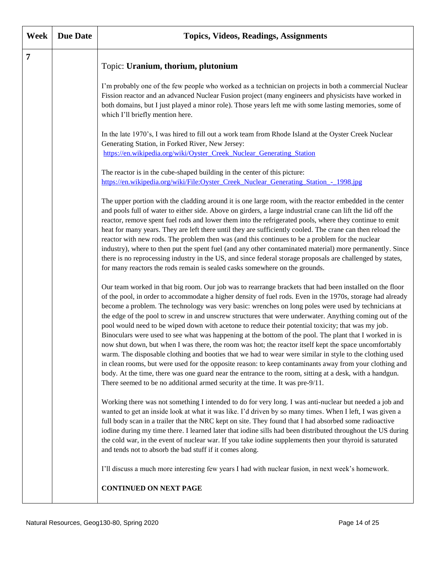| Week           | <b>Due Date</b> | <b>Topics, Videos, Readings, Assignments</b>                                                                                                                                                                                                                                                                                                                                                                                                                                                                                                                                                                                                                                                                                                                                                                                                                                                                                                                                                                                                                                                                                                                                             |
|----------------|-----------------|------------------------------------------------------------------------------------------------------------------------------------------------------------------------------------------------------------------------------------------------------------------------------------------------------------------------------------------------------------------------------------------------------------------------------------------------------------------------------------------------------------------------------------------------------------------------------------------------------------------------------------------------------------------------------------------------------------------------------------------------------------------------------------------------------------------------------------------------------------------------------------------------------------------------------------------------------------------------------------------------------------------------------------------------------------------------------------------------------------------------------------------------------------------------------------------|
| $\overline{7}$ |                 | Topic: Uranium, thorium, plutonium                                                                                                                                                                                                                                                                                                                                                                                                                                                                                                                                                                                                                                                                                                                                                                                                                                                                                                                                                                                                                                                                                                                                                       |
|                |                 | I'm probably one of the few people who worked as a technician on projects in both a commercial Nuclear<br>Fission reactor and an advanced Nuclear Fusion project (many engineers and physicists have worked in<br>both domains, but I just played a minor role). Those years left me with some lasting memories, some of<br>which I'll briefly mention here.                                                                                                                                                                                                                                                                                                                                                                                                                                                                                                                                                                                                                                                                                                                                                                                                                             |
|                |                 | In the late 1970's, I was hired to fill out a work team from Rhode Island at the Oyster Creek Nuclear<br>Generating Station, in Forked River, New Jersey:<br>https://en.wikipedia.org/wiki/Oyster_Creek_Nuclear_Generating_Station                                                                                                                                                                                                                                                                                                                                                                                                                                                                                                                                                                                                                                                                                                                                                                                                                                                                                                                                                       |
|                |                 | The reactor is in the cube-shaped building in the center of this picture:<br>https://en.wikipedia.org/wiki/File:Oyster_Creek_Nuclear_Generating_Station_-_1998.jpg                                                                                                                                                                                                                                                                                                                                                                                                                                                                                                                                                                                                                                                                                                                                                                                                                                                                                                                                                                                                                       |
|                |                 | The upper portion with the cladding around it is one large room, with the reactor embedded in the center<br>and pools full of water to either side. Above on girders, a large industrial crane can lift the lid off the<br>reactor, remove spent fuel rods and lower them into the refrigerated pools, where they continue to emit<br>heat for many years. They are left there until they are sufficiently cooled. The crane can then reload the<br>reactor with new rods. The problem then was (and this continues to be a problem for the nuclear<br>industry), where to then put the spent fuel (and any other contaminated material) more permanently. Since<br>there is no reprocessing industry in the US, and since federal storage proposals are challenged by states,<br>for many reactors the rods remain is sealed casks somewhere on the grounds.                                                                                                                                                                                                                                                                                                                            |
|                |                 | Our team worked in that big room. Our job was to rearrange brackets that had been installed on the floor<br>of the pool, in order to accommodate a higher density of fuel rods. Even in the 1970s, storage had already<br>become a problem. The technology was very basic: wrenches on long poles were used by technicians at<br>the edge of the pool to screw in and unscrew structures that were underwater. Anything coming out of the<br>pool would need to be wiped down with acetone to reduce their potential toxicity; that was my job.<br>Binoculars were used to see what was happening at the bottom of the pool. The plant that I worked in is<br>now shut down, but when I was there, the room was hot; the reactor itself kept the space uncomfortably<br>warm. The disposable clothing and booties that we had to wear were similar in style to the clothing used<br>in clean rooms, but were used for the opposite reason: to keep contaminants away from your clothing and<br>body. At the time, there was one guard near the entrance to the room, sitting at a desk, with a handgun.<br>There seemed to be no additional armed security at the time. It was pre-9/11. |
|                |                 | Working there was not something I intended to do for very long. I was anti-nuclear but needed a job and<br>wanted to get an inside look at what it was like. I'd driven by so many times. When I left, I was given a<br>full body scan in a trailer that the NRC kept on site. They found that I had absorbed some radioactive<br>iodine during my time there. I learned later that iodine sills had been distributed throughout the US during<br>the cold war, in the event of nuclear war. If you take iodine supplements then your thyroid is saturated<br>and tends not to absorb the bad stuff if it comes along.                                                                                                                                                                                                                                                                                                                                                                                                                                                                                                                                                                   |
|                |                 | I'll discuss a much more interesting few years I had with nuclear fusion, in next week's homework.<br><b>CONTINUED ON NEXT PAGE</b>                                                                                                                                                                                                                                                                                                                                                                                                                                                                                                                                                                                                                                                                                                                                                                                                                                                                                                                                                                                                                                                      |
|                |                 |                                                                                                                                                                                                                                                                                                                                                                                                                                                                                                                                                                                                                                                                                                                                                                                                                                                                                                                                                                                                                                                                                                                                                                                          |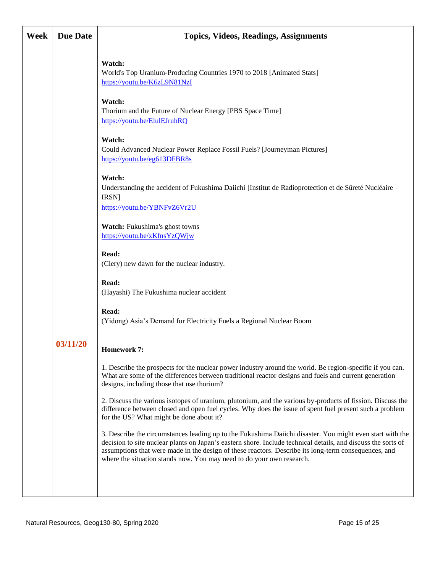| Week | <b>Due Date</b> | <b>Topics, Videos, Readings, Assignments</b>                                                                                                                                                                                                                                                                                                                                                                |
|------|-----------------|-------------------------------------------------------------------------------------------------------------------------------------------------------------------------------------------------------------------------------------------------------------------------------------------------------------------------------------------------------------------------------------------------------------|
|      |                 | Watch:<br>World's Top Uranium-Producing Countries 1970 to 2018 [Animated Stats]<br>https://youtu.be/K6zL9N81NzI                                                                                                                                                                                                                                                                                             |
|      |                 | Watch:<br>Thorium and the Future of Nuclear Energy [PBS Space Time]<br>https://youtu.be/ElulEJruhRQ                                                                                                                                                                                                                                                                                                         |
|      |                 | Watch:<br>Could Advanced Nuclear Power Replace Fossil Fuels? [Journeyman Pictures]<br>https://youtu.be/eg613DFBR8s                                                                                                                                                                                                                                                                                          |
|      |                 | Watch:<br>Understanding the accident of Fukushima Daiichi [Institut de Radioprotection et de Sûreté Nucléaire –<br>IRSN]<br>https://youtu.be/YBNFvZ6Vr2U                                                                                                                                                                                                                                                    |
|      |                 | Watch: Fukushima's ghost towns<br>https://youtu.be/xKfnsYzQWjw                                                                                                                                                                                                                                                                                                                                              |
|      |                 | Read:<br>(Clery) new dawn for the nuclear industry.                                                                                                                                                                                                                                                                                                                                                         |
|      |                 | Read:<br>(Hayashi) The Fukushima nuclear accident                                                                                                                                                                                                                                                                                                                                                           |
|      |                 | Read:<br>(Yidong) Asia's Demand for Electricity Fuels a Regional Nuclear Boom                                                                                                                                                                                                                                                                                                                               |
|      | 03/11/20        | <b>Homework 7:</b>                                                                                                                                                                                                                                                                                                                                                                                          |
|      |                 | 1. Describe the prospects for the nuclear power industry around the world. Be region-specific if you can.<br>What are some of the differences between traditional reactor designs and fuels and current generation<br>designs, including those that use thorium?                                                                                                                                            |
|      |                 | 2. Discuss the various isotopes of uranium, plutonium, and the various by-products of fission. Discuss the<br>difference between closed and open fuel cycles. Why does the issue of spent fuel present such a problem<br>for the US? What might be done about it?                                                                                                                                           |
|      |                 | 3. Describe the circumstances leading up to the Fukushima Daiichi disaster. You might even start with the<br>decision to site nuclear plants on Japan's eastern shore. Include technical details, and discuss the sorts of<br>assumptions that were made in the design of these reactors. Describe its long-term consequences, and<br>where the situation stands now. You may need to do your own research. |
|      |                 |                                                                                                                                                                                                                                                                                                                                                                                                             |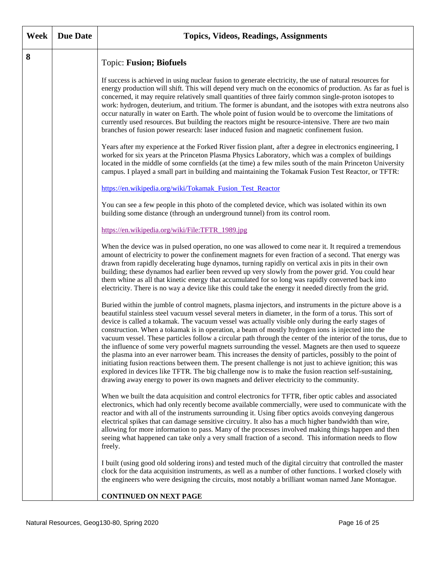| Week | <b>Due Date</b> | <b>Topics, Videos, Readings, Assignments</b>                                                                                                                                                                                                                                                                                                                                                                                                                                                                                                                                                                                                                                                                                                                                                                                                                                                                                                                                                                                                                                        |
|------|-----------------|-------------------------------------------------------------------------------------------------------------------------------------------------------------------------------------------------------------------------------------------------------------------------------------------------------------------------------------------------------------------------------------------------------------------------------------------------------------------------------------------------------------------------------------------------------------------------------------------------------------------------------------------------------------------------------------------------------------------------------------------------------------------------------------------------------------------------------------------------------------------------------------------------------------------------------------------------------------------------------------------------------------------------------------------------------------------------------------|
| 8    |                 | <b>Topic: Fusion; Biofuels</b>                                                                                                                                                                                                                                                                                                                                                                                                                                                                                                                                                                                                                                                                                                                                                                                                                                                                                                                                                                                                                                                      |
|      |                 | If success is achieved in using nuclear fusion to generate electricity, the use of natural resources for<br>energy production will shift. This will depend very much on the economics of production. As far as fuel is<br>concerned, it may require relatively small quantities of three fairly common single-proton isotopes to<br>work: hydrogen, deuterium, and tritium. The former is abundant, and the isotopes with extra neutrons also<br>occur naturally in water on Earth. The whole point of fusion would be to overcome the limitations of<br>currently used resources. But building the reactors might be resource-intensive. There are two main<br>branches of fusion power research: laser induced fusion and magnetic confinement fusion.                                                                                                                                                                                                                                                                                                                            |
|      |                 | Years after my experience at the Forked River fission plant, after a degree in electronics engineering, I<br>worked for six years at the Princeton Plasma Physics Laboratory, which was a complex of buildings<br>located in the middle of some cornfields (at the time) a few miles south of the main Princeton University<br>campus. I played a small part in building and maintaining the Tokamak Fusion Test Reactor, or TFTR:                                                                                                                                                                                                                                                                                                                                                                                                                                                                                                                                                                                                                                                  |
|      |                 | https://en.wikipedia.org/wiki/Tokamak_Fusion_Test_Reactor                                                                                                                                                                                                                                                                                                                                                                                                                                                                                                                                                                                                                                                                                                                                                                                                                                                                                                                                                                                                                           |
|      |                 | You can see a few people in this photo of the completed device, which was isolated within its own<br>building some distance (through an underground tunnel) from its control room.                                                                                                                                                                                                                                                                                                                                                                                                                                                                                                                                                                                                                                                                                                                                                                                                                                                                                                  |
|      |                 | https://en.wikipedia.org/wiki/File:TFTR_1989.jpg                                                                                                                                                                                                                                                                                                                                                                                                                                                                                                                                                                                                                                                                                                                                                                                                                                                                                                                                                                                                                                    |
|      |                 | When the device was in pulsed operation, no one was allowed to come near it. It required a tremendous<br>amount of electricity to power the confinement magnets for even fraction of a second. That energy was<br>drawn from rapidly decelerating huge dynamos, turning rapidly on vertical axis in pits in their own<br>building; these dynamos had earlier been revved up very slowly from the power grid. You could hear<br>them whine as all that kinetic energy that accumulated for so long was rapidly converted back into<br>electricity. There is no way a device like this could take the energy it needed directly from the grid.                                                                                                                                                                                                                                                                                                                                                                                                                                        |
|      |                 | Buried within the jumble of control magnets, plasma injectors, and instruments in the picture above is a<br>beautiful stainless steel vacuum vessel several meters in diameter, in the form of a torus. This sort of<br>device is called a tokamak. The vacuum vessel was actually visible only during the early stages of<br>construction. When a tokamak is in operation, a beam of mostly hydrogen ions is injected into the<br>vacuum vessel. These particles follow a circular path through the center of the interior of the torus, due to<br>the influence of some very powerful magnets surrounding the vessel. Magnets are then used to squeeze<br>the plasma into an ever narrower beam. This increases the density of particles, possibly to the point of<br>initiating fusion reactions between them. The present challenge is not just to achieve ignition; this was<br>explored in devices like TFTR. The big challenge now is to make the fusion reaction self-sustaining,<br>drawing away energy to power its own magnets and deliver electricity to the community. |
|      |                 | When we built the data acquisition and control electronics for TFTR, fiber optic cables and associated<br>electronics, which had only recently become available commercially, were used to communicate with the<br>reactor and with all of the instruments surrounding it. Using fiber optics avoids conveying dangerous<br>electrical spikes that can damage sensitive circuitry. It also has a much higher bandwidth than wire,<br>allowing for more information to pass. Many of the processes involved making things happen and then<br>seeing what happened can take only a very small fraction of a second. This information needs to flow<br>freely.                                                                                                                                                                                                                                                                                                                                                                                                                         |
|      |                 | I built (using good old soldering irons) and tested much of the digital circuitry that controlled the master<br>clock for the data acquisition instruments, as well as a number of other functions. I worked closely with<br>the engineers who were designing the circuits, most notably a brilliant woman named Jane Montague.                                                                                                                                                                                                                                                                                                                                                                                                                                                                                                                                                                                                                                                                                                                                                     |
|      |                 | <b>CONTINUED ON NEXT PAGE</b>                                                                                                                                                                                                                                                                                                                                                                                                                                                                                                                                                                                                                                                                                                                                                                                                                                                                                                                                                                                                                                                       |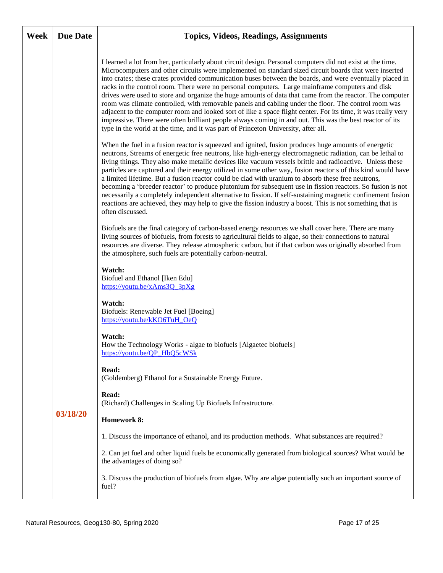| Week | <b>Due Date</b> | <b>Topics, Videos, Readings, Assignments</b>                                                                                                                                                                                                                                                                                                                                                                                                                                                                                                                                                                                                                                                                                                                                                                                                                                                                                                                               |
|------|-----------------|----------------------------------------------------------------------------------------------------------------------------------------------------------------------------------------------------------------------------------------------------------------------------------------------------------------------------------------------------------------------------------------------------------------------------------------------------------------------------------------------------------------------------------------------------------------------------------------------------------------------------------------------------------------------------------------------------------------------------------------------------------------------------------------------------------------------------------------------------------------------------------------------------------------------------------------------------------------------------|
|      |                 | I learned a lot from her, particularly about circuit design. Personal computers did not exist at the time.<br>Microcomputers and other circuits were implemented on standard sized circuit boards that were inserted<br>into crates; these crates provided communication buses between the boards, and were eventually placed in<br>racks in the control room. There were no personal computers. Large mainframe computers and disk<br>drives were used to store and organize the huge amounts of data that came from the reactor. The computer<br>room was climate controlled, with removable panels and cabling under the floor. The control room was<br>adjacent to the computer room and looked sort of like a space flight center. For its time, it was really very<br>impressive. There were often brilliant people always coming in and out. This was the best reactor of its<br>type in the world at the time, and it was part of Princeton University, after all. |
|      |                 | When the fuel in a fusion reactor is squeezed and ignited, fusion produces huge amounts of energetic<br>neutrons, Streams of energetic free neutrons, like high-energy electromagnetic radiation, can be lethal to<br>living things. They also make metallic devices like vacuum vessels brittle and radioactive. Unless these<br>particles are captured and their energy utilized in some other way, fusion reactor s of this kind would have<br>a limited lifetime. But a fusion reactor could be clad with uranium to absorb these free neutrons,<br>becoming a 'breeder reactor' to produce plutonium for subsequent use in fission reactors. So fusion is not<br>necessarily a completely independent alternative to fission. If self-sustaining magnetic confinement fusion<br>reactions are achieved, they may help to give the fission industry a boost. This is not something that is<br>often discussed.                                                         |
|      |                 | Biofuels are the final category of carbon-based energy resources we shall cover here. There are many<br>living sources of biofuels, from forests to agricultural fields to algae, so their connections to natural<br>resources are diverse. They release atmospheric carbon, but if that carbon was originally absorbed from<br>the atmosphere, such fuels are potentially carbon-neutral.                                                                                                                                                                                                                                                                                                                                                                                                                                                                                                                                                                                 |
|      |                 | Watch:<br>Biofuel and Ethanol [Iken Edu]<br>https://youtu.be/xAms3Q 3pXg                                                                                                                                                                                                                                                                                                                                                                                                                                                                                                                                                                                                                                                                                                                                                                                                                                                                                                   |
|      |                 | Watch:<br>Biofuels: Renewable Jet Fuel [Boeing]<br>https://youtu.be/kKO6TuH_OeQ                                                                                                                                                                                                                                                                                                                                                                                                                                                                                                                                                                                                                                                                                                                                                                                                                                                                                            |
|      |                 | Watch:<br>How the Technology Works - algae to biofuels [Algaetec biofuels]<br>https://youtu.be/QP_HbQ5cWSk                                                                                                                                                                                                                                                                                                                                                                                                                                                                                                                                                                                                                                                                                                                                                                                                                                                                 |
|      |                 | Read:<br>(Goldemberg) Ethanol for a Sustainable Energy Future.                                                                                                                                                                                                                                                                                                                                                                                                                                                                                                                                                                                                                                                                                                                                                                                                                                                                                                             |
|      |                 | Read:<br>(Richard) Challenges in Scaling Up Biofuels Infrastructure.                                                                                                                                                                                                                                                                                                                                                                                                                                                                                                                                                                                                                                                                                                                                                                                                                                                                                                       |
|      | 03/18/20        | <b>Homework 8:</b>                                                                                                                                                                                                                                                                                                                                                                                                                                                                                                                                                                                                                                                                                                                                                                                                                                                                                                                                                         |
|      |                 | 1. Discuss the importance of ethanol, and its production methods. What substances are required?                                                                                                                                                                                                                                                                                                                                                                                                                                                                                                                                                                                                                                                                                                                                                                                                                                                                            |
|      |                 | 2. Can jet fuel and other liquid fuels be economically generated from biological sources? What would be<br>the advantages of doing so?                                                                                                                                                                                                                                                                                                                                                                                                                                                                                                                                                                                                                                                                                                                                                                                                                                     |
|      |                 | 3. Discuss the production of biofuels from algae. Why are algae potentially such an important source of<br>fuel?                                                                                                                                                                                                                                                                                                                                                                                                                                                                                                                                                                                                                                                                                                                                                                                                                                                           |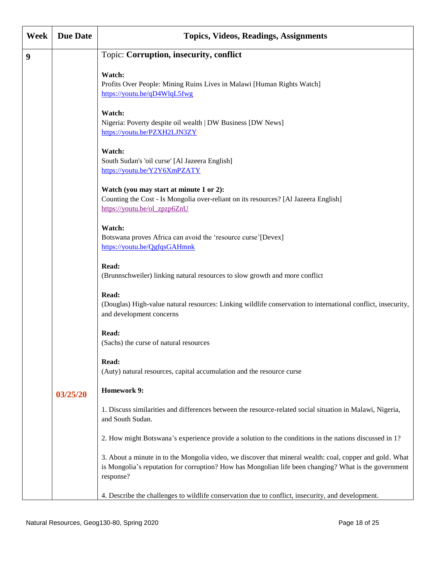| Week | <b>Due Date</b> | <b>Topics, Videos, Readings, Assignments</b>                                                                                                                                                                                   |
|------|-----------------|--------------------------------------------------------------------------------------------------------------------------------------------------------------------------------------------------------------------------------|
| 9    |                 | Topic: Corruption, insecurity, conflict                                                                                                                                                                                        |
|      |                 | Watch:<br>Profits Over People: Mining Ruins Lives in Malawi [Human Rights Watch]<br>https://youtu.be/qD4WlqL5fwg                                                                                                               |
|      |                 | Watch:<br>Nigeria: Poverty despite oil wealth   DW Business [DW News]<br>https://youtu.be/PZXH2LJN3ZY                                                                                                                          |
|      |                 | Watch:<br>South Sudan's 'oil curse' [Al Jazeera English]<br>https://youtu.be/Y2Y6XmPZATY                                                                                                                                       |
|      |                 | Watch (you may start at minute 1 or 2):<br>Counting the Cost - Is Mongolia over-reliant on its resources? [Al Jazeera English]<br>https://youtu.be/ol_zpzp6ZnU                                                                 |
|      |                 | Watch:<br>Botswana proves Africa can avoid the 'resource curse' [Devex]<br>https://youtu.be/QgfqsGAHmnk                                                                                                                        |
|      |                 | Read:<br>(Brunnschweiler) linking natural resources to slow growth and more conflict                                                                                                                                           |
|      |                 | Read:<br>(Douglas) High-value natural resources: Linking wildlife conservation to international conflict, insecurity,<br>and development concerns                                                                              |
|      |                 | Read:<br>(Sachs) the curse of natural resources                                                                                                                                                                                |
|      |                 | Read:<br>(Auty) natural resources, capital accumulation and the resource curse                                                                                                                                                 |
|      | 03/25/20        | <b>Homework 9:</b>                                                                                                                                                                                                             |
|      |                 | 1. Discuss similarities and differences between the resource-related social situation in Malawi, Nigeria,<br>and South Sudan.                                                                                                  |
|      |                 | 2. How might Botswana's experience provide a solution to the conditions in the nations discussed in 1?                                                                                                                         |
|      |                 | 3. About a minute in to the Mongolia video, we discover that mineral wealth: coal, copper and gold. What<br>is Mongolia's reputation for corruption? How has Mongolian life been changing? What is the government<br>response? |
|      |                 | 4. Describe the challenges to wildlife conservation due to conflict, insecurity, and development.                                                                                                                              |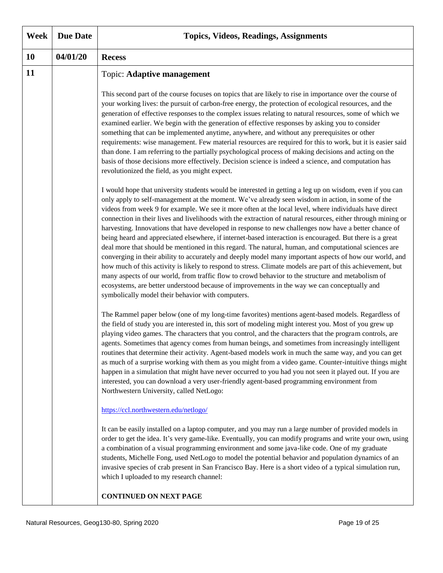| Week | <b>Due Date</b> | <b>Topics, Videos, Readings, Assignments</b>                                                                                                                                                                                                                                                                                                                                                                                                                                                                                                                                                                                                                                                                                                                                                                                                                                                                                                                                                                                                                                                                                                                                                                                                            |
|------|-----------------|---------------------------------------------------------------------------------------------------------------------------------------------------------------------------------------------------------------------------------------------------------------------------------------------------------------------------------------------------------------------------------------------------------------------------------------------------------------------------------------------------------------------------------------------------------------------------------------------------------------------------------------------------------------------------------------------------------------------------------------------------------------------------------------------------------------------------------------------------------------------------------------------------------------------------------------------------------------------------------------------------------------------------------------------------------------------------------------------------------------------------------------------------------------------------------------------------------------------------------------------------------|
| 10   | 04/01/20        | <b>Recess</b>                                                                                                                                                                                                                                                                                                                                                                                                                                                                                                                                                                                                                                                                                                                                                                                                                                                                                                                                                                                                                                                                                                                                                                                                                                           |
| 11   |                 | <b>Topic: Adaptive management</b><br>This second part of the course focuses on topics that are likely to rise in importance over the course of<br>your working lives: the pursuit of carbon-free energy, the protection of ecological resources, and the                                                                                                                                                                                                                                                                                                                                                                                                                                                                                                                                                                                                                                                                                                                                                                                                                                                                                                                                                                                                |
|      |                 | generation of effective responses to the complex issues relating to natural resources, some of which we<br>examined earlier. We begin with the generation of effective responses by asking you to consider<br>something that can be implemented anytime, anywhere, and without any prerequisites or other<br>requirements: wise management. Few material resources are required for this to work, but it is easier said<br>than done. I am referring to the partially psychological process of making decisions and acting on the<br>basis of those decisions more effectively. Decision science is indeed a science, and computation has<br>revolutionized the field, as you might expect.                                                                                                                                                                                                                                                                                                                                                                                                                                                                                                                                                             |
|      |                 | I would hope that university students would be interested in getting a leg up on wisdom, even if you can<br>only apply to self-management at the moment. We've already seen wisdom in action, in some of the<br>videos from week 9 for example. We see it more often at the local level, where individuals have direct<br>connection in their lives and livelihoods with the extraction of natural resources, either through mining or<br>harvesting. Innovations that have developed in response to new challenges now have a better chance of<br>being heard and appreciated elsewhere, if internet-based interaction is encouraged. But there is a great<br>deal more that should be mentioned in this regard. The natural, human, and computational sciences are<br>converging in their ability to accurately and deeply model many important aspects of how our world, and<br>how much of this activity is likely to respond to stress. Climate models are part of this achievement, but<br>many aspects of our world, from traffic flow to crowd behavior to the structure and metabolism of<br>ecosystems, are better understood because of improvements in the way we can conceptually and<br>symbolically model their behavior with computers. |
|      |                 | The Rammel paper below (one of my long-time favorites) mentions agent-based models. Regardless of<br>the field of study you are interested in, this sort of modeling might interest you. Most of you grew up<br>playing video games. The characters that you control, and the characters that the program controls, are<br>agents. Sometimes that agency comes from human beings, and sometimes from increasingly intelligent<br>routines that determine their activity. Agent-based models work in much the same way, and you can get<br>as much of a surprise working with them as you might from a video game. Counter-intuitive things might<br>happen in a simulation that might have never occurred to you had you not seen it played out. If you are<br>interested, you can download a very user-friendly agent-based programming environment from<br>Northwestern University, called NetLogo:                                                                                                                                                                                                                                                                                                                                                   |
|      |                 | https://ccl.northwestern.edu/netlogo/<br>It can be easily installed on a laptop computer, and you may run a large number of provided models in                                                                                                                                                                                                                                                                                                                                                                                                                                                                                                                                                                                                                                                                                                                                                                                                                                                                                                                                                                                                                                                                                                          |
|      |                 | order to get the idea. It's very game-like. Eventually, you can modify programs and write your own, using<br>a combination of a visual programming environment and some java-like code. One of my graduate<br>students, Michelle Fong, used NetLogo to model the potential behavior and population dynamics of an<br>invasive species of crab present in San Francisco Bay. Here is a short video of a typical simulation run,<br>which I uploaded to my research channel:                                                                                                                                                                                                                                                                                                                                                                                                                                                                                                                                                                                                                                                                                                                                                                              |
|      |                 | <b>CONTINUED ON NEXT PAGE</b>                                                                                                                                                                                                                                                                                                                                                                                                                                                                                                                                                                                                                                                                                                                                                                                                                                                                                                                                                                                                                                                                                                                                                                                                                           |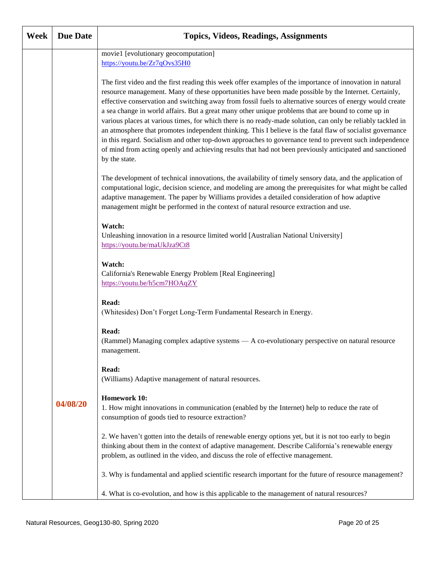| Week | <b>Due Date</b> | <b>Topics, Videos, Readings, Assignments</b>                                                                                                                                                                                                                                                                                                                                                                                                                                                                                                                                                                                                                                                                                                                                                                                                                                                              |
|------|-----------------|-----------------------------------------------------------------------------------------------------------------------------------------------------------------------------------------------------------------------------------------------------------------------------------------------------------------------------------------------------------------------------------------------------------------------------------------------------------------------------------------------------------------------------------------------------------------------------------------------------------------------------------------------------------------------------------------------------------------------------------------------------------------------------------------------------------------------------------------------------------------------------------------------------------|
|      |                 | movie1 [evolutionary geocomputation]<br>https://youtu.be/Zr7qOvs35H0                                                                                                                                                                                                                                                                                                                                                                                                                                                                                                                                                                                                                                                                                                                                                                                                                                      |
|      |                 | The first video and the first reading this week offer examples of the importance of innovation in natural<br>resource management. Many of these opportunities have been made possible by the Internet. Certainly,<br>effective conservation and switching away from fossil fuels to alternative sources of energy would create<br>a sea change in world affairs. But a great many other unique problems that are bound to come up in<br>various places at various times, for which there is no ready-made solution, can only be reliably tackled in<br>an atmosphere that promotes independent thinking. This I believe is the fatal flaw of socialist governance<br>in this regard. Socialism and other top-down approaches to governance tend to prevent such independence<br>of mind from acting openly and achieving results that had not been previously anticipated and sanctioned<br>by the state. |
|      |                 | The development of technical innovations, the availability of timely sensory data, and the application of<br>computational logic, decision science, and modeling are among the prerequisites for what might be called<br>adaptive management. The paper by Williams provides a detailed consideration of how adaptive<br>management might be performed in the context of natural resource extraction and use.                                                                                                                                                                                                                                                                                                                                                                                                                                                                                             |
|      |                 | Watch:<br>Unleashing innovation in a resource limited world [Australian National University]<br>https://youtu.be/maUkJza9Ct8                                                                                                                                                                                                                                                                                                                                                                                                                                                                                                                                                                                                                                                                                                                                                                              |
|      |                 | Watch:<br>California's Renewable Energy Problem [Real Engineering]<br>https://youtu.be/h5cm7HOAqZY                                                                                                                                                                                                                                                                                                                                                                                                                                                                                                                                                                                                                                                                                                                                                                                                        |
|      |                 | Read:<br>(Whitesides) Don't Forget Long-Term Fundamental Research in Energy.                                                                                                                                                                                                                                                                                                                                                                                                                                                                                                                                                                                                                                                                                                                                                                                                                              |
|      |                 | Read:<br>(Rammel) Managing complex adaptive systems — A co-evolutionary perspective on natural resource<br>management.                                                                                                                                                                                                                                                                                                                                                                                                                                                                                                                                                                                                                                                                                                                                                                                    |
|      |                 | Read:<br>(Williams) Adaptive management of natural resources.                                                                                                                                                                                                                                                                                                                                                                                                                                                                                                                                                                                                                                                                                                                                                                                                                                             |
|      | 04/08/20        | <b>Homework 10:</b><br>1. How might innovations in communication (enabled by the Internet) help to reduce the rate of<br>consumption of goods tied to resource extraction?                                                                                                                                                                                                                                                                                                                                                                                                                                                                                                                                                                                                                                                                                                                                |
|      |                 | 2. We haven't gotten into the details of renewable energy options yet, but it is not too early to begin<br>thinking about them in the context of adaptive management. Describe California's renewable energy<br>problem, as outlined in the video, and discuss the role of effective management.                                                                                                                                                                                                                                                                                                                                                                                                                                                                                                                                                                                                          |
|      |                 | 3. Why is fundamental and applied scientific research important for the future of resource management?                                                                                                                                                                                                                                                                                                                                                                                                                                                                                                                                                                                                                                                                                                                                                                                                    |
|      |                 | 4. What is co-evolution, and how is this applicable to the management of natural resources?                                                                                                                                                                                                                                                                                                                                                                                                                                                                                                                                                                                                                                                                                                                                                                                                               |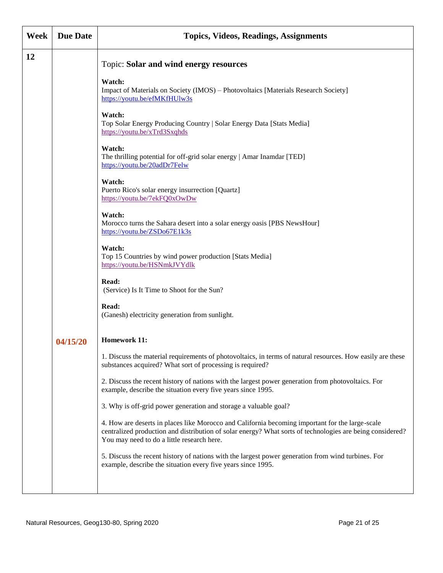| Week | <b>Due Date</b> | <b>Topics, Videos, Readings, Assignments</b>                                                                                                                                                                                                               |
|------|-----------------|------------------------------------------------------------------------------------------------------------------------------------------------------------------------------------------------------------------------------------------------------------|
| 12   |                 | <b>Topic: Solar and wind energy resources</b>                                                                                                                                                                                                              |
|      |                 | Watch:<br>Impact of Materials on Society (IMOS) – Photovoltaics [Materials Research Society]<br>https://youtu.be/efMKfHUlw3s                                                                                                                               |
|      |                 | Watch:<br>Top Solar Energy Producing Country   Solar Energy Data [Stats Media]<br>https://youtu.be/xTrd3Sxqhds                                                                                                                                             |
|      |                 | Watch:<br>The thrilling potential for off-grid solar energy   Amar Inamdar [TED]<br>https://youtu.be/20adDr7Felw                                                                                                                                           |
|      |                 | Watch:<br>Puerto Rico's solar energy insurrection [Quartz]<br>https://youtu.be/7ekFQ0xOwDw                                                                                                                                                                 |
|      |                 | Watch:<br>Morocco turns the Sahara desert into a solar energy oasis [PBS NewsHour]<br>https://youtu.be/ZSDo67E1k3s                                                                                                                                         |
|      |                 | Watch:<br>Top 15 Countries by wind power production [Stats Media]<br>https://youtu.be/HSNmkJVYdlk                                                                                                                                                          |
|      |                 | Read:<br>(Service) Is It Time to Shoot for the Sun?                                                                                                                                                                                                        |
|      |                 | Read:<br>(Ganesh) electricity generation from sunlight.                                                                                                                                                                                                    |
|      | 04/15/20        | <b>Homework 11:</b>                                                                                                                                                                                                                                        |
|      |                 | 1. Discuss the material requirements of photovoltaics, in terms of natural resources. How easily are these<br>substances acquired? What sort of processing is required?                                                                                    |
|      |                 | 2. Discuss the recent history of nations with the largest power generation from photovoltaics. For<br>example, describe the situation every five years since 1995.                                                                                         |
|      |                 | 3. Why is off-grid power generation and storage a valuable goal?                                                                                                                                                                                           |
|      |                 | 4. How are deserts in places like Morocco and California becoming important for the large-scale<br>centralized production and distribution of solar energy? What sorts of technologies are being considered?<br>You may need to do a little research here. |
|      |                 | 5. Discuss the recent history of nations with the largest power generation from wind turbines. For<br>example, describe the situation every five years since 1995.                                                                                         |
|      |                 |                                                                                                                                                                                                                                                            |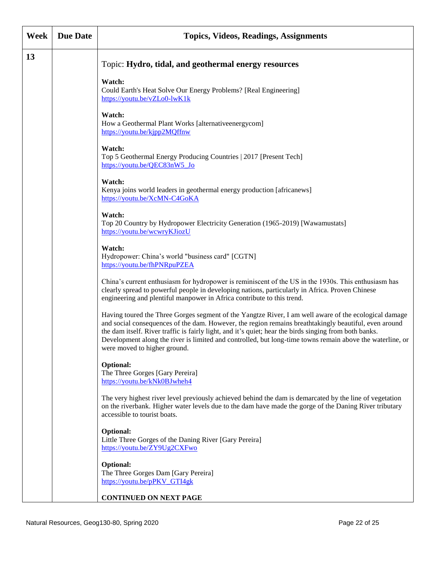| Week | <b>Due Date</b> | <b>Topics, Videos, Readings, Assignments</b>                                                                                                                                                                                                                                                                                                                                                                                                                          |
|------|-----------------|-----------------------------------------------------------------------------------------------------------------------------------------------------------------------------------------------------------------------------------------------------------------------------------------------------------------------------------------------------------------------------------------------------------------------------------------------------------------------|
| 13   |                 | Topic: Hydro, tidal, and geothermal energy resources                                                                                                                                                                                                                                                                                                                                                                                                                  |
|      |                 | Watch:<br>Could Earth's Heat Solve Our Energy Problems? [Real Engineering]<br>https://youtu.be/vZLo0-lwK1k                                                                                                                                                                                                                                                                                                                                                            |
|      |                 | Watch:<br>How a Geothermal Plant Works [alternativeenergycom]<br>https://youtu.be/kjpp2MQffnw                                                                                                                                                                                                                                                                                                                                                                         |
|      |                 | Watch:<br>Top 5 Geothermal Energy Producing Countries   2017 [Present Tech]<br>https://youtu.be/QEC83nW5_Jo                                                                                                                                                                                                                                                                                                                                                           |
|      |                 | Watch:<br>Kenya joins world leaders in geothermal energy production [africanews]<br>https://youtu.be/XcMN-C4GoKA                                                                                                                                                                                                                                                                                                                                                      |
|      |                 | Watch:<br>Top 20 Country by Hydropower Electricity Generation (1965-2019) [Wawamustats]<br>https://youtu.be/wcwryKJiozU                                                                                                                                                                                                                                                                                                                                               |
|      |                 | Watch:<br>Hydropower: China's world "business card" [CGTN]<br>https://youtu.be/fhPNRpuPZEA                                                                                                                                                                                                                                                                                                                                                                            |
|      |                 | China's current enthusiasm for hydropower is reminiscent of the US in the 1930s. This enthusiasm has<br>clearly spread to powerful people in developing nations, particularly in Africa. Proven Chinese<br>engineering and plentiful manpower in Africa contribute to this trend.                                                                                                                                                                                     |
|      |                 | Having toured the Three Gorges segment of the Yangtze River, I am well aware of the ecological damage<br>and social consequences of the dam. However, the region remains breathtakingly beautiful, even around<br>the dam itself. River traffic is fairly light, and it's quiet; hear the birds singing from both banks.<br>Development along the river is limited and controlled, but long-time towns remain above the waterline, or<br>were moved to higher ground. |
|      |                 | Optional:<br>The Three Gorges [Gary Pereira]<br>https://youtu.be/kNk0BJwheh4                                                                                                                                                                                                                                                                                                                                                                                          |
|      |                 | The very highest river level previously achieved behind the dam is demarcated by the line of vegetation<br>on the riverbank. Higher water levels due to the dam have made the gorge of the Daning River tributary<br>accessible to tourist boats.                                                                                                                                                                                                                     |
|      |                 | <b>Optional:</b><br>Little Three Gorges of the Daning River [Gary Pereira]<br>https://youtu.be/ZY9Ug2CXFwo                                                                                                                                                                                                                                                                                                                                                            |
|      |                 | <b>Optional:</b><br>The Three Gorges Dam [Gary Pereira]<br>https://youtu.be/pPKV GTI4gk                                                                                                                                                                                                                                                                                                                                                                               |
|      |                 | <b>CONTINUED ON NEXT PAGE</b>                                                                                                                                                                                                                                                                                                                                                                                                                                         |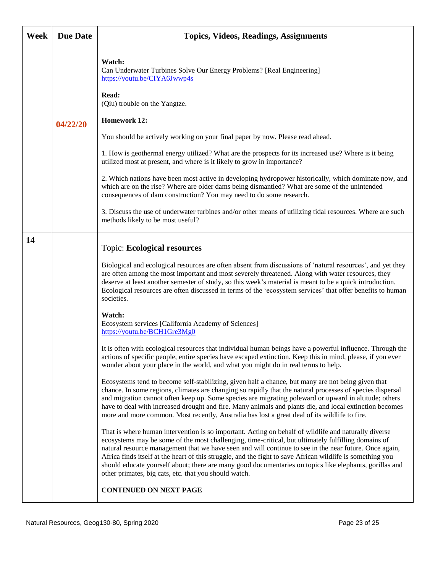| Week | <b>Due Date</b> | <b>Topics, Videos, Readings, Assignments</b>                                                                                                                                                                                                                                                                                                                                                                                                                                                                                                                                                            |
|------|-----------------|---------------------------------------------------------------------------------------------------------------------------------------------------------------------------------------------------------------------------------------------------------------------------------------------------------------------------------------------------------------------------------------------------------------------------------------------------------------------------------------------------------------------------------------------------------------------------------------------------------|
|      |                 | Watch:<br>Can Underwater Turbines Solve Our Energy Problems? [Real Engineering]<br>https://youtu.be/CIYA6Jwwp4s                                                                                                                                                                                                                                                                                                                                                                                                                                                                                         |
|      |                 | Read:<br>(Qiu) trouble on the Yangtze.                                                                                                                                                                                                                                                                                                                                                                                                                                                                                                                                                                  |
|      | 04/22/20        | <b>Homework 12:</b>                                                                                                                                                                                                                                                                                                                                                                                                                                                                                                                                                                                     |
|      |                 | You should be actively working on your final paper by now. Please read ahead.                                                                                                                                                                                                                                                                                                                                                                                                                                                                                                                           |
|      |                 | 1. How is geothermal energy utilized? What are the prospects for its increased use? Where is it being<br>utilized most at present, and where is it likely to grow in importance?                                                                                                                                                                                                                                                                                                                                                                                                                        |
|      |                 | 2. Which nations have been most active in developing hydropower historically, which dominate now, and<br>which are on the rise? Where are older dams being dismantled? What are some of the unintended<br>consequences of dam construction? You may need to do some research.                                                                                                                                                                                                                                                                                                                           |
|      |                 | 3. Discuss the use of underwater turbines and/or other means of utilizing tidal resources. Where are such<br>methods likely to be most useful?                                                                                                                                                                                                                                                                                                                                                                                                                                                          |
| 14   |                 | <b>Topic: Ecological resources</b>                                                                                                                                                                                                                                                                                                                                                                                                                                                                                                                                                                      |
|      |                 | Biological and ecological resources are often absent from discussions of 'natural resources', and yet they<br>are often among the most important and most severely threatened. Along with water resources, they<br>deserve at least another semester of study, so this week's material is meant to be a quick introduction.<br>Ecological resources are often discussed in terms of the 'ecosystem services' that offer benefits to human<br>societies.                                                                                                                                                 |
|      |                 | Watch:<br>Ecosystem services [California Academy of Sciences]<br>https://youtu.be/BCH1Gre3Mg0                                                                                                                                                                                                                                                                                                                                                                                                                                                                                                           |
|      |                 | It is often with ecological resources that individual human beings have a powerful influence. Through the<br>actions of specific people, entire species have escaped extinction. Keep this in mind, please, if you ever<br>wonder about your place in the world, and what you might do in real terms to help.                                                                                                                                                                                                                                                                                           |
|      |                 | Ecosystems tend to become self-stabilizing, given half a chance, but many are not being given that<br>chance. In some regions, climates are changing so rapidly that the natural processes of species dispersal<br>and migration cannot often keep up. Some species are migrating poleward or upward in altitude; others<br>have to deal with increased drought and fire. Many animals and plants die, and local extinction becomes<br>more and more common. Most recently, Australia has lost a great deal of its wildlife to fire.                                                                    |
|      |                 | That is where human intervention is so important. Acting on behalf of wildlife and naturally diverse<br>ecosystems may be some of the most challenging, time-critical, but ultimately fulfilling domains of<br>natural resource management that we have seen and will continue to see in the near future. Once again,<br>Africa finds itself at the heart of this struggle, and the fight to save African wildlife is something you<br>should educate yourself about; there are many good documentaries on topics like elephants, gorillas and<br>other primates, big cats, etc. that you should watch. |
|      |                 | <b>CONTINUED ON NEXT PAGE</b>                                                                                                                                                                                                                                                                                                                                                                                                                                                                                                                                                                           |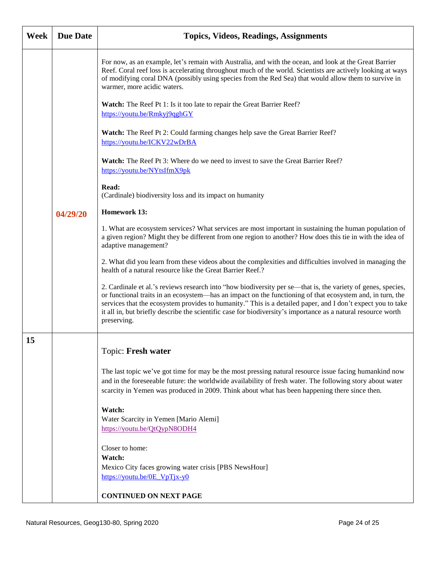| Week | <b>Due Date</b> | <b>Topics, Videos, Readings, Assignments</b>                                                                                                                                                                                                                                                                                                                                                                                                                             |
|------|-----------------|--------------------------------------------------------------------------------------------------------------------------------------------------------------------------------------------------------------------------------------------------------------------------------------------------------------------------------------------------------------------------------------------------------------------------------------------------------------------------|
|      |                 | For now, as an example, let's remain with Australia, and with the ocean, and look at the Great Barrier<br>Reef. Coral reef loss is accelerating throughout much of the world. Scientists are actively looking at ways<br>of modifying coral DNA (possibly using species from the Red Sea) that would allow them to survive in<br>warmer, more acidic waters.                                                                                                             |
|      |                 | <b>Watch:</b> The Reef Pt 1: Is it too late to repair the Great Barrier Reef?<br>https://youtu.be/Rmkyj9qghGY                                                                                                                                                                                                                                                                                                                                                            |
|      |                 | <b>Watch:</b> The Reef Pt 2: Could farming changes help save the Great Barrier Reef?<br>https://youtu.be/ICKV22wDrBA                                                                                                                                                                                                                                                                                                                                                     |
|      |                 | <b>Watch:</b> The Reef Pt 3: Where do we need to invest to save the Great Barrier Reef?<br>https://youtu.be/NYtsIfmX9pk                                                                                                                                                                                                                                                                                                                                                  |
|      |                 | Read:<br>(Cardinale) biodiversity loss and its impact on humanity                                                                                                                                                                                                                                                                                                                                                                                                        |
|      | 04/29/20        | <b>Homework 13:</b>                                                                                                                                                                                                                                                                                                                                                                                                                                                      |
|      |                 | 1. What are ecosystem services? What services are most important in sustaining the human population of<br>a given region? Might they be different from one region to another? How does this tie in with the idea of<br>adaptive management?                                                                                                                                                                                                                              |
|      |                 | 2. What did you learn from these videos about the complexities and difficulties involved in managing the<br>health of a natural resource like the Great Barrier Reef.?                                                                                                                                                                                                                                                                                                   |
|      |                 | 2. Cardinale et al.'s reviews research into "how biodiversity per se—that is, the variety of genes, species,<br>or functional traits in an ecosystem—has an impact on the functioning of that ecosystem and, in turn, the<br>services that the ecosystem provides to humanity." This is a detailed paper, and I don't expect you to take<br>it all in, but briefly describe the scientific case for biodiversity's importance as a natural resource worth<br>preserving. |
| 15   |                 |                                                                                                                                                                                                                                                                                                                                                                                                                                                                          |
|      |                 | Topic: Fresh water                                                                                                                                                                                                                                                                                                                                                                                                                                                       |
|      |                 | The last topic we've got time for may be the most pressing natural resource issue facing humankind now<br>and in the foreseeable future: the worldwide availability of fresh water. The following story about water<br>scarcity in Yemen was produced in 2009. Think about what has been happening there since then.                                                                                                                                                     |
|      |                 | Watch:<br>Water Scarcity in Yemen [Mario Alemi]<br>https://youtu.be/QtQypN8ODH4                                                                                                                                                                                                                                                                                                                                                                                          |
|      |                 | Closer to home:                                                                                                                                                                                                                                                                                                                                                                                                                                                          |
|      |                 | Watch:                                                                                                                                                                                                                                                                                                                                                                                                                                                                   |
|      |                 | Mexico City faces growing water crisis [PBS NewsHour]<br>https://youtu.be/0E VpTjx-y0                                                                                                                                                                                                                                                                                                                                                                                    |
|      |                 | <b>CONTINUED ON NEXT PAGE</b>                                                                                                                                                                                                                                                                                                                                                                                                                                            |